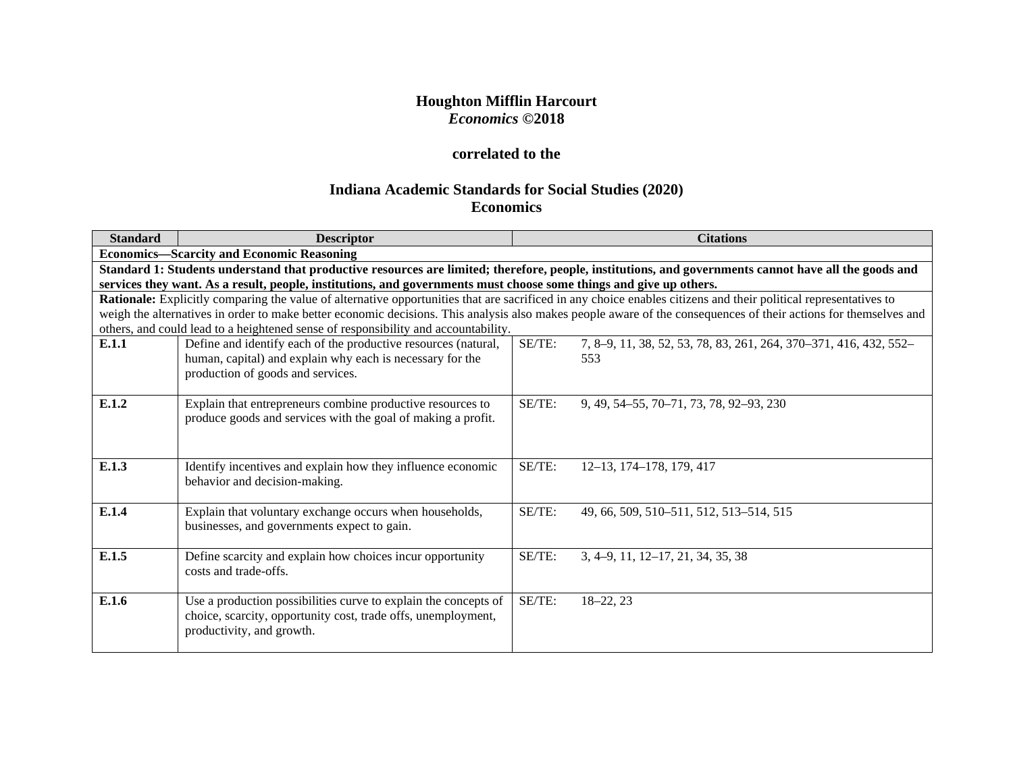## **Houghton Mifflin Harcourt** *Economics* **©2018**

# **correlated to the**

# **Indiana Academic Standards for Social Studies (2020) Economics**

| <b>Standard</b> | <b>Descriptor</b>                                                                                                                                                |        | <b>Citations</b>                                                                                                                                                 |
|-----------------|------------------------------------------------------------------------------------------------------------------------------------------------------------------|--------|------------------------------------------------------------------------------------------------------------------------------------------------------------------|
|                 | <b>Economics—Scarcity and Economic Reasoning</b>                                                                                                                 |        |                                                                                                                                                                  |
|                 |                                                                                                                                                                  |        | Standard 1: Students understand that productive resources are limited; therefore, people, institutions, and governments cannot have all the goods and            |
|                 | services they want. As a result, people, institutions, and governments must choose some things and give up others.                                               |        |                                                                                                                                                                  |
|                 | Rationale: Explicitly comparing the value of alternative opportunities that are sacrificed in any choice enables citizens and their political representatives to |        |                                                                                                                                                                  |
|                 |                                                                                                                                                                  |        | weigh the alternatives in order to make better economic decisions. This analysis also makes people aware of the consequences of their actions for themselves and |
|                 | others, and could lead to a heightened sense of responsibility and accountability.                                                                               |        |                                                                                                                                                                  |
| E.1.1           | Define and identify each of the productive resources (natural,                                                                                                   | SE/TE: | 7, 8-9, 11, 38, 52, 53, 78, 83, 261, 264, 370-371, 416, 432, 552-                                                                                                |
|                 | human, capital) and explain why each is necessary for the                                                                                                        |        | 553                                                                                                                                                              |
|                 | production of goods and services.                                                                                                                                |        |                                                                                                                                                                  |
| E.1.2           |                                                                                                                                                                  | SE/TE: |                                                                                                                                                                  |
|                 | Explain that entrepreneurs combine productive resources to<br>produce goods and services with the goal of making a profit.                                       |        | 9, 49, 54–55, 70–71, 73, 78, 92–93, 230                                                                                                                          |
|                 |                                                                                                                                                                  |        |                                                                                                                                                                  |
|                 |                                                                                                                                                                  |        |                                                                                                                                                                  |
| E.1.3           |                                                                                                                                                                  | SE/TE: |                                                                                                                                                                  |
|                 | Identify incentives and explain how they influence economic<br>behavior and decision-making.                                                                     |        | 12-13, 174-178, 179, 417                                                                                                                                         |
|                 |                                                                                                                                                                  |        |                                                                                                                                                                  |
| E.1.4           | Explain that voluntary exchange occurs when households,                                                                                                          | SE/TE: | 49, 66, 509, 510–511, 512, 513–514, 515                                                                                                                          |
|                 | businesses, and governments expect to gain.                                                                                                                      |        |                                                                                                                                                                  |
|                 |                                                                                                                                                                  |        |                                                                                                                                                                  |
| E.1.5           | Define scarcity and explain how choices incur opportunity                                                                                                        | SE/TE: | $3, 4-9, 11, 12-17, 21, 34, 35, 38$                                                                                                                              |
|                 | costs and trade-offs.                                                                                                                                            |        |                                                                                                                                                                  |
|                 |                                                                                                                                                                  |        |                                                                                                                                                                  |
| E.1.6           | Use a production possibilities curve to explain the concepts of                                                                                                  | SE/TE: | $18 - 22, 23$                                                                                                                                                    |
|                 | choice, scarcity, opportunity cost, trade offs, unemployment,                                                                                                    |        |                                                                                                                                                                  |
|                 | productivity, and growth.                                                                                                                                        |        |                                                                                                                                                                  |
|                 |                                                                                                                                                                  |        |                                                                                                                                                                  |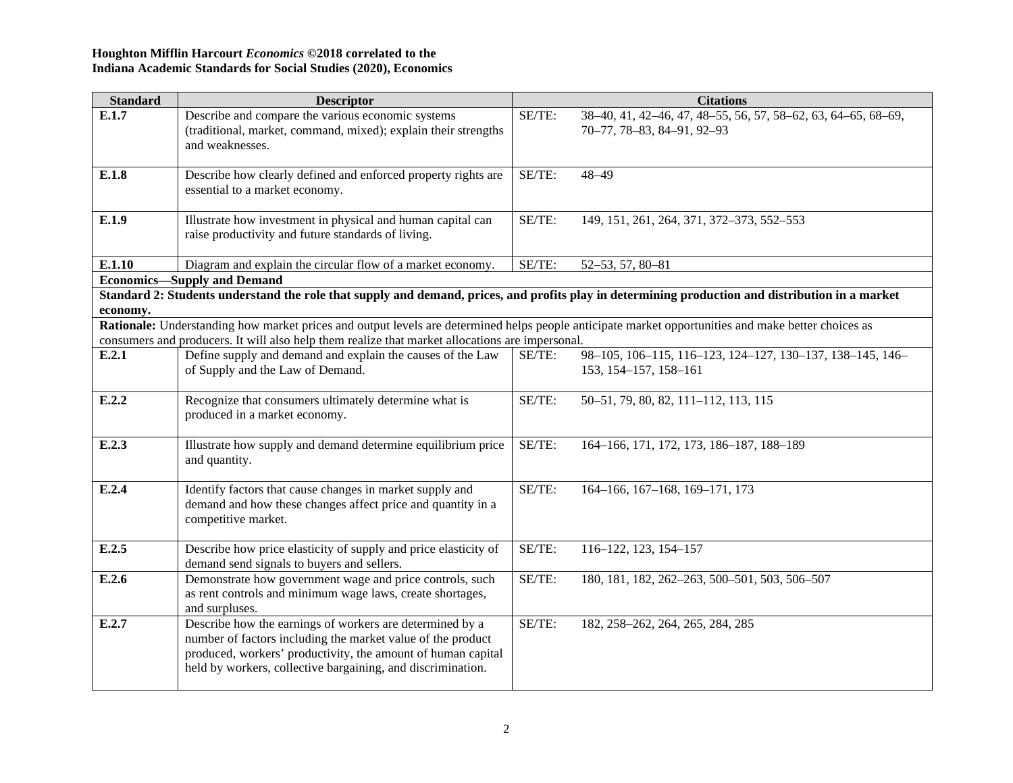| <b>Standard</b> | <b>Descriptor</b>                                                                                                                                   |        | <b>Citations</b>                                              |
|-----------------|-----------------------------------------------------------------------------------------------------------------------------------------------------|--------|---------------------------------------------------------------|
| E.1.7           | Describe and compare the various economic systems                                                                                                   | SE/TE: | 38-40, 41, 42-46, 47, 48-55, 56, 57, 58-62, 63, 64-65, 68-69, |
|                 | (traditional, market, command, mixed); explain their strengths                                                                                      |        | 70-77, 78-83, 84-91, 92-93                                    |
|                 | and weaknesses.                                                                                                                                     |        |                                                               |
| E.1.8           | Describe how clearly defined and enforced property rights are                                                                                       | SE/TE: | $48 - 49$                                                     |
|                 | essential to a market economy.                                                                                                                      |        |                                                               |
|                 |                                                                                                                                                     |        |                                                               |
| E.1.9           | Illustrate how investment in physical and human capital can                                                                                         | SE/TE: | 149, 151, 261, 264, 371, 372-373, 552-553                     |
|                 | raise productivity and future standards of living.                                                                                                  |        |                                                               |
| E.1.10          | Diagram and explain the circular flow of a market economy.                                                                                          | SE/TE: | 52-53, 57, 80-81                                              |
|                 | <b>Economics-Supply and Demand</b>                                                                                                                  |        |                                                               |
|                 | Standard 2: Students understand the role that supply and demand, prices, and profits play in determining production and distribution in a market    |        |                                                               |
| economy.        |                                                                                                                                                     |        |                                                               |
|                 | Rationale: Understanding how market prices and output levels are determined helps people anticipate market opportunities and make better choices as |        |                                                               |
|                 | consumers and producers. It will also help them realize that market allocations are impersonal.                                                     |        |                                                               |
| E.2.1           | Define supply and demand and explain the causes of the Law                                                                                          | SE/TE: | 98-105, 106-115, 116-123, 124-127, 130-137, 138-145, 146-     |
|                 | of Supply and the Law of Demand.                                                                                                                    |        | 153, 154-157, 158-161                                         |
| E.2.2           | Recognize that consumers ultimately determine what is                                                                                               | SE/TE: | 50-51, 79, 80, 82, 111-112, 113, 115                          |
|                 | produced in a market economy.                                                                                                                       |        |                                                               |
|                 |                                                                                                                                                     |        |                                                               |
| E.2.3           | Illustrate how supply and demand determine equilibrium price                                                                                        | SE/TE: | 164-166, 171, 172, 173, 186-187, 188-189                      |
|                 | and quantity.                                                                                                                                       |        |                                                               |
| E.2.4           | Identify factors that cause changes in market supply and                                                                                            | SE/TE: | 164-166, 167-168, 169-171, 173                                |
|                 | demand and how these changes affect price and quantity in a                                                                                         |        |                                                               |
|                 | competitive market.                                                                                                                                 |        |                                                               |
|                 |                                                                                                                                                     |        |                                                               |
| E.2.5           | Describe how price elasticity of supply and price elasticity of                                                                                     | SE/TE: | 116-122, 123, 154-157                                         |
|                 | demand send signals to buyers and sellers.                                                                                                          |        |                                                               |
| E.2.6           | Demonstrate how government wage and price controls, such                                                                                            | SE/TE: | 180, 181, 182, 262-263, 500-501, 503, 506-507                 |
|                 | as rent controls and minimum wage laws, create shortages,                                                                                           |        |                                                               |
|                 | and surpluses.                                                                                                                                      |        |                                                               |
| E.2.7           | Describe how the earnings of workers are determined by a                                                                                            | SE/TE: | 182, 258-262, 264, 265, 284, 285                              |
|                 | number of factors including the market value of the product                                                                                         |        |                                                               |
|                 | produced, workers' productivity, the amount of human capital                                                                                        |        |                                                               |
|                 | held by workers, collective bargaining, and discrimination.                                                                                         |        |                                                               |
|                 |                                                                                                                                                     |        |                                                               |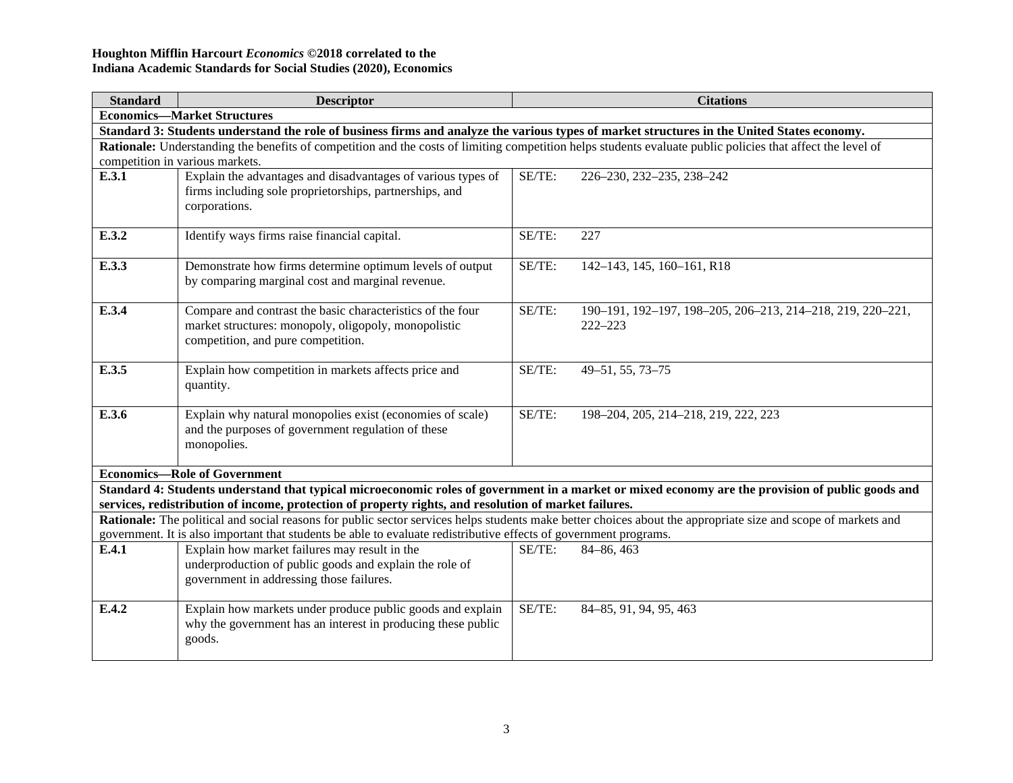| <b>Standard</b> | <b>Descriptor</b>                                                                                                                                           |        | <b>Citations</b>                                                                                                                                              |  |  |  |
|-----------------|-------------------------------------------------------------------------------------------------------------------------------------------------------------|--------|---------------------------------------------------------------------------------------------------------------------------------------------------------------|--|--|--|
|                 | <b>Economics-Market Structures</b>                                                                                                                          |        |                                                                                                                                                               |  |  |  |
|                 | Standard 3: Students understand the role of business firms and analyze the various types of market structures in the United States economy.                 |        |                                                                                                                                                               |  |  |  |
|                 | Rationale: Understanding the benefits of competition and the costs of limiting competition helps students evaluate public policies that affect the level of |        |                                                                                                                                                               |  |  |  |
|                 | competition in various markets.                                                                                                                             |        |                                                                                                                                                               |  |  |  |
| E.3.1           | Explain the advantages and disadvantages of various types of                                                                                                | SE/TE: | 226-230, 232-235, 238-242                                                                                                                                     |  |  |  |
|                 | firms including sole proprietorships, partnerships, and                                                                                                     |        |                                                                                                                                                               |  |  |  |
|                 | corporations.                                                                                                                                               |        |                                                                                                                                                               |  |  |  |
| E.3.2           | Identify ways firms raise financial capital.                                                                                                                | SE/TE: | 227                                                                                                                                                           |  |  |  |
|                 |                                                                                                                                                             |        |                                                                                                                                                               |  |  |  |
| E.3.3           | Demonstrate how firms determine optimum levels of output                                                                                                    | SE/TE: | 142-143, 145, 160-161, R18                                                                                                                                    |  |  |  |
|                 | by comparing marginal cost and marginal revenue.                                                                                                            |        |                                                                                                                                                               |  |  |  |
|                 |                                                                                                                                                             |        |                                                                                                                                                               |  |  |  |
| E.3.4           | Compare and contrast the basic characteristics of the four                                                                                                  | SE/TE: | 190-191, 192-197, 198-205, 206-213, 214-218, 219, 220-221,                                                                                                    |  |  |  |
|                 | market structures: monopoly, oligopoly, monopolistic<br>competition, and pure competition.                                                                  |        | $222 - 223$                                                                                                                                                   |  |  |  |
|                 |                                                                                                                                                             |        |                                                                                                                                                               |  |  |  |
| E.3.5           | Explain how competition in markets affects price and                                                                                                        | SE/TE: | 49-51, 55, 73-75                                                                                                                                              |  |  |  |
|                 | quantity.                                                                                                                                                   |        |                                                                                                                                                               |  |  |  |
|                 |                                                                                                                                                             |        |                                                                                                                                                               |  |  |  |
| E.3.6           | Explain why natural monopolies exist (economies of scale)                                                                                                   | SE/TE: | 198-204, 205, 214-218, 219, 222, 223                                                                                                                          |  |  |  |
|                 | and the purposes of government regulation of these                                                                                                          |        |                                                                                                                                                               |  |  |  |
|                 | monopolies.                                                                                                                                                 |        |                                                                                                                                                               |  |  |  |
|                 | <b>Economics-Role of Government</b>                                                                                                                         |        |                                                                                                                                                               |  |  |  |
|                 |                                                                                                                                                             |        | Standard 4: Students understand that typical microeconomic roles of government in a market or mixed economy are the provision of public goods and             |  |  |  |
|                 | services, redistribution of income, protection of property rights, and resolution of market failures.                                                       |        |                                                                                                                                                               |  |  |  |
|                 |                                                                                                                                                             |        | Rationale: The political and social reasons for public sector services helps students make better choices about the appropriate size and scope of markets and |  |  |  |
|                 | government. It is also important that students be able to evaluate redistributive effects of government programs.                                           |        |                                                                                                                                                               |  |  |  |
| E.4.1           | Explain how market failures may result in the                                                                                                               | SE/TE: | 84-86, 463                                                                                                                                                    |  |  |  |
|                 | underproduction of public goods and explain the role of                                                                                                     |        |                                                                                                                                                               |  |  |  |
|                 | government in addressing those failures.                                                                                                                    |        |                                                                                                                                                               |  |  |  |
| E.4.2           | Explain how markets under produce public goods and explain                                                                                                  | SE/TE: | 84-85, 91, 94, 95, 463                                                                                                                                        |  |  |  |
|                 | why the government has an interest in producing these public                                                                                                |        |                                                                                                                                                               |  |  |  |
|                 | goods.                                                                                                                                                      |        |                                                                                                                                                               |  |  |  |
|                 |                                                                                                                                                             |        |                                                                                                                                                               |  |  |  |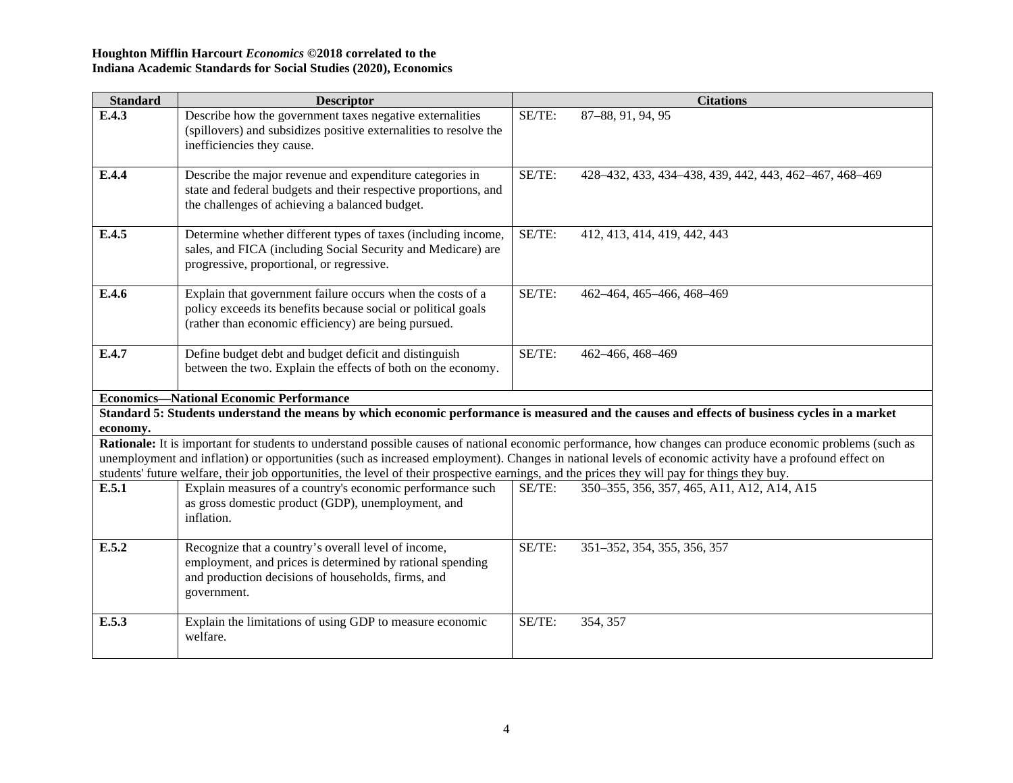| <b>Standard</b>                                | <b>Descriptor</b>                                                                                                                                                                                          |        | <b>Citations</b>                                                                                                                                           |  |
|------------------------------------------------|------------------------------------------------------------------------------------------------------------------------------------------------------------------------------------------------------------|--------|------------------------------------------------------------------------------------------------------------------------------------------------------------|--|
| E.4.3                                          | Describe how the government taxes negative externalities<br>(spillovers) and subsidizes positive externalities to resolve the<br>inefficiencies they cause.                                                | SE/TE: | 87-88, 91, 94, 95                                                                                                                                          |  |
| E.4.4                                          | Describe the major revenue and expenditure categories in<br>state and federal budgets and their respective proportions, and<br>the challenges of achieving a balanced budget.                              | SE/TE: | 428-432, 433, 434-438, 439, 442, 443, 462-467, 468-469                                                                                                     |  |
| E.4.5                                          | Determine whether different types of taxes (including income,<br>sales, and FICA (including Social Security and Medicare) are<br>progressive, proportional, or regressive.                                 | SE/TE: | 412, 413, 414, 419, 442, 443                                                                                                                               |  |
| E.4.6                                          | Explain that government failure occurs when the costs of a<br>policy exceeds its benefits because social or political goals<br>(rather than economic efficiency) are being pursued.                        | SE/TE: | 462-464, 465-466, 468-469                                                                                                                                  |  |
| E.4.7                                          | Define budget debt and budget deficit and distinguish<br>between the two. Explain the effects of both on the economy.                                                                                      | SE/TE: | 462-466, 468-469                                                                                                                                           |  |
| <b>Economics—National Economic Performance</b> |                                                                                                                                                                                                            |        |                                                                                                                                                            |  |
| economy.                                       | Standard 5: Students understand the means by which economic performance is measured and the causes and effects of business cycles in a market                                                              |        |                                                                                                                                                            |  |
|                                                |                                                                                                                                                                                                            |        | Rationale: It is important for students to understand possible causes of national economic performance, how changes can produce economic problems (such as |  |
|                                                | unemployment and inflation) or opportunities (such as increased employment). Changes in national levels of economic activity have a profound effect on                                                     |        |                                                                                                                                                            |  |
| E.5.1                                          | students' future welfare, their job opportunities, the level of their prospective earnings, and the prices they will pay for things they buy.<br>Explain measures of a country's economic performance such | SE/TE: | 350–355, 356, 357, 465, A11, A12, A14, A15                                                                                                                 |  |
|                                                | as gross domestic product (GDP), unemployment, and<br>inflation.                                                                                                                                           |        |                                                                                                                                                            |  |
| E.5.2                                          | Recognize that a country's overall level of income,<br>employment, and prices is determined by rational spending<br>and production decisions of households, firms, and<br>government.                      | SE/TE: | 351-352, 354, 355, 356, 357                                                                                                                                |  |
| E.5.3                                          | Explain the limitations of using GDP to measure economic<br>welfare.                                                                                                                                       | SE/TE: | 354, 357                                                                                                                                                   |  |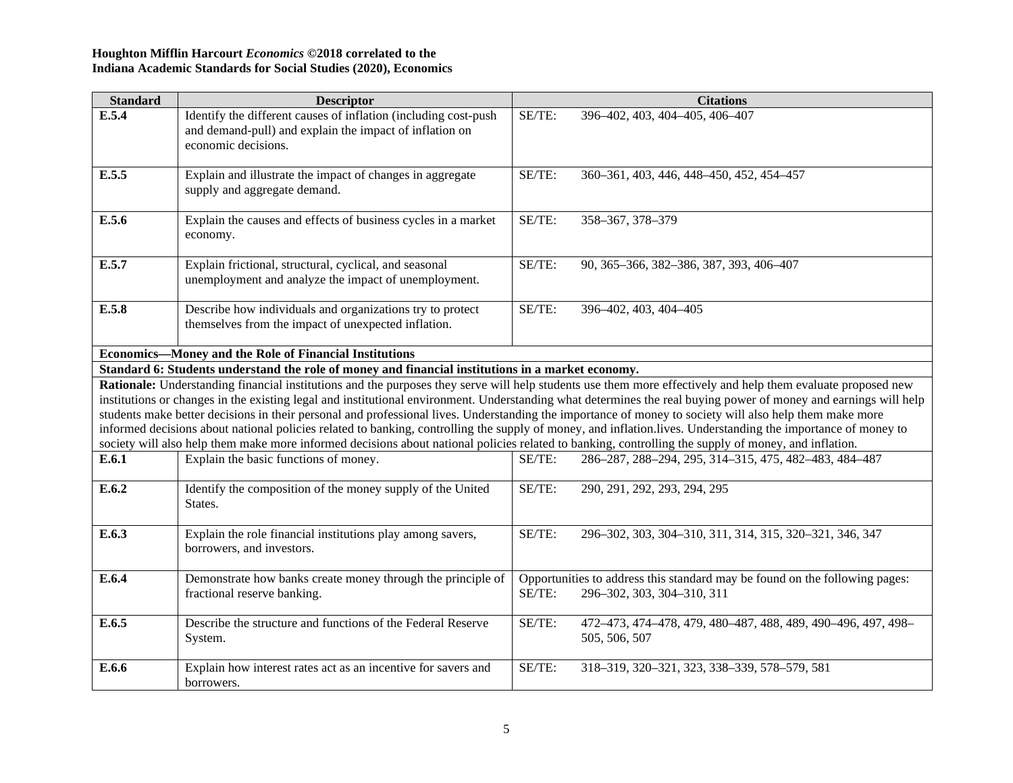| <b>Standard</b> | <b>Descriptor</b>                                                                                                                                                                                                                                                                                               |        | <b>Citations</b>                                                                                                                                                 |
|-----------------|-----------------------------------------------------------------------------------------------------------------------------------------------------------------------------------------------------------------------------------------------------------------------------------------------------------------|--------|------------------------------------------------------------------------------------------------------------------------------------------------------------------|
| E.5.4           | Identify the different causes of inflation (including cost-push<br>and demand-pull) and explain the impact of inflation on<br>economic decisions.                                                                                                                                                               | SE/TE: | 396-402, 403, 404-405, 406-407                                                                                                                                   |
| E.5.5           | Explain and illustrate the impact of changes in aggregate<br>supply and aggregate demand.                                                                                                                                                                                                                       | SE/TE: | 360-361, 403, 446, 448-450, 452, 454-457                                                                                                                         |
| E.5.6           | Explain the causes and effects of business cycles in a market<br>economy.                                                                                                                                                                                                                                       | SE/TE: | 358-367, 378-379                                                                                                                                                 |
| E.5.7           | Explain frictional, structural, cyclical, and seasonal<br>unemployment and analyze the impact of unemployment.                                                                                                                                                                                                  | SE/TE: | 90, 365-366, 382-386, 387, 393, 406-407                                                                                                                          |
| E.5.8           | Describe how individuals and organizations try to protect<br>themselves from the impact of unexpected inflation.                                                                                                                                                                                                | SE/TE: | 396-402, 403, 404-405                                                                                                                                            |
|                 | <b>Economics-Money and the Role of Financial Institutions</b>                                                                                                                                                                                                                                                   |        |                                                                                                                                                                  |
|                 | Standard 6: Students understand the role of money and financial institutions in a market economy.                                                                                                                                                                                                               |        |                                                                                                                                                                  |
|                 |                                                                                                                                                                                                                                                                                                                 |        | Rationale: Understanding financial institutions and the purposes they serve will help students use them more effectively and help them evaluate proposed new     |
|                 |                                                                                                                                                                                                                                                                                                                 |        | institutions or changes in the existing legal and institutional environment. Understanding what determines the real buying power of money and earnings will help |
|                 | students make better decisions in their personal and professional lives. Understanding the importance of money to society will also help them make more<br>society will also help them make more informed decisions about national policies related to banking, controlling the supply of money, and inflation. |        | informed decisions about national policies related to banking, controlling the supply of money, and inflation.lives. Understanding the importance of money to    |
| E.6.1           | Explain the basic functions of money.                                                                                                                                                                                                                                                                           | SE/TE: | 286-287, 288-294, 295, 314-315, 475, 482-483, 484-487                                                                                                            |
| E.6.2           | Identify the composition of the money supply of the United<br>States.                                                                                                                                                                                                                                           | SE/TE: | 290, 291, 292, 293, 294, 295                                                                                                                                     |
| E.6.3           | Explain the role financial institutions play among savers,<br>borrowers, and investors.                                                                                                                                                                                                                         | SE/TE: | 296-302, 303, 304-310, 311, 314, 315, 320-321, 346, 347                                                                                                          |
| E.6.4           | Demonstrate how banks create money through the principle of<br>fractional reserve banking.                                                                                                                                                                                                                      | SE/TE: | Opportunities to address this standard may be found on the following pages:<br>296-302, 303, 304-310, 311                                                        |
| E.6.5           | Describe the structure and functions of the Federal Reserve<br>System.                                                                                                                                                                                                                                          | SE/TE: | 472-473, 474-478, 479, 480-487, 488, 489, 490-496, 497, 498-<br>505, 506, 507                                                                                    |
| E.6.6           | Explain how interest rates act as an incentive for savers and<br>borrowers.                                                                                                                                                                                                                                     | SE/TE: | 318-319, 320-321, 323, 338-339, 578-579, 581                                                                                                                     |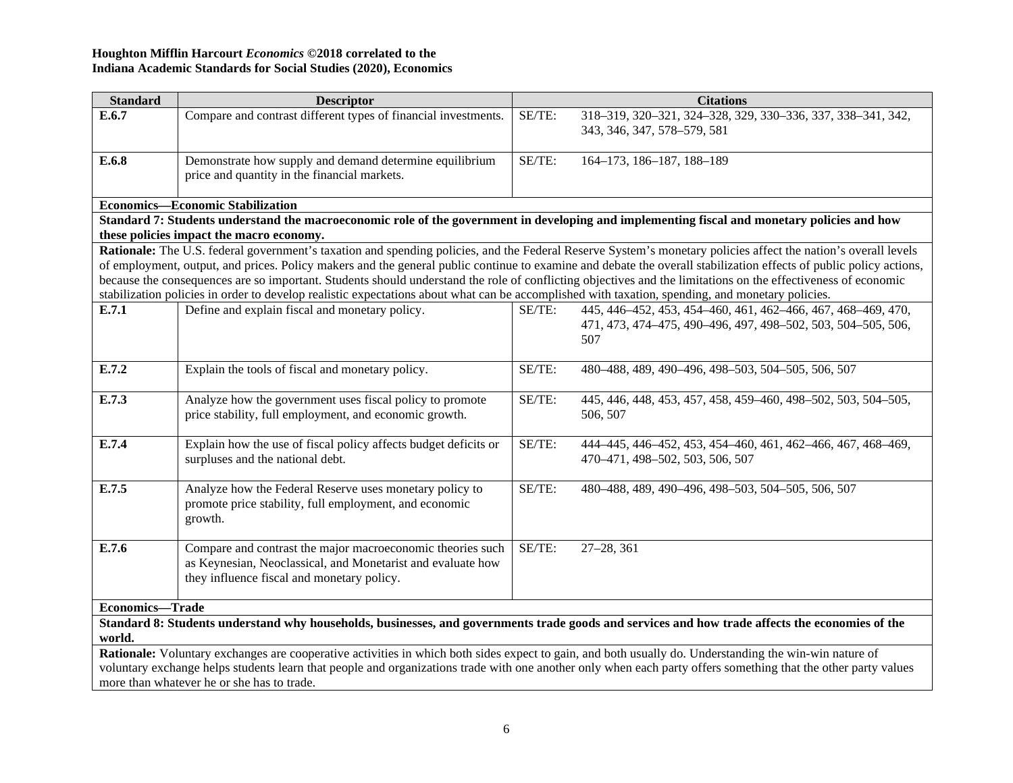| <b>Standard</b>        | <b>Descriptor</b>                                                                                                                                |        | <b>Citations</b>                                                                                                                                                   |
|------------------------|--------------------------------------------------------------------------------------------------------------------------------------------------|--------|--------------------------------------------------------------------------------------------------------------------------------------------------------------------|
| E.6.7                  | Compare and contrast different types of financial investments.                                                                                   | SE/TE: | 318-319, 320-321, 324-328, 329, 330-336, 337, 338-341, 342,                                                                                                        |
|                        |                                                                                                                                                  |        | 343, 346, 347, 578-579, 581                                                                                                                                        |
|                        |                                                                                                                                                  |        |                                                                                                                                                                    |
| E.6.8                  | Demonstrate how supply and demand determine equilibrium                                                                                          | SE/TE: | 164-173, 186-187, 188-189                                                                                                                                          |
|                        | price and quantity in the financial markets.                                                                                                     |        |                                                                                                                                                                    |
|                        | <b>Economics—Economic Stabilization</b>                                                                                                          |        |                                                                                                                                                                    |
|                        | Standard 7: Students understand the macroeconomic role of the government in developing and implementing fiscal and monetary policies and how     |        |                                                                                                                                                                    |
|                        | these policies impact the macro economy.                                                                                                         |        |                                                                                                                                                                    |
|                        |                                                                                                                                                  |        | Rationale: The U.S. federal government's taxation and spending policies, and the Federal Reserve System's monetary policies affect the nation's overall levels     |
|                        |                                                                                                                                                  |        | of employment, output, and prices. Policy makers and the general public continue to examine and debate the overall stabilization effects of public policy actions, |
|                        |                                                                                                                                                  |        | because the consequences are so important. Students should understand the role of conflicting objectives and the limitations on the effectiveness of economic      |
|                        | stabilization policies in order to develop realistic expectations about what can be accomplished with taxation, spending, and monetary policies. |        |                                                                                                                                                                    |
| E.7.1                  | Define and explain fiscal and monetary policy.                                                                                                   | SE/TE: | 445, 446-452, 453, 454-460, 461, 462-466, 467, 468-469, 470,                                                                                                       |
|                        |                                                                                                                                                  |        | 471, 473, 474-475, 490-496, 497, 498-502, 503, 504-505, 506,                                                                                                       |
|                        |                                                                                                                                                  |        | 507                                                                                                                                                                |
|                        |                                                                                                                                                  |        |                                                                                                                                                                    |
| E.7.2                  | Explain the tools of fiscal and monetary policy.                                                                                                 | SE/TE: | 480-488, 489, 490-496, 498-503, 504-505, 506, 507                                                                                                                  |
|                        |                                                                                                                                                  |        |                                                                                                                                                                    |
| E.7.3                  | Analyze how the government uses fiscal policy to promote                                                                                         | SE/TE: | 445, 446, 448, 453, 457, 458, 459-460, 498-502, 503, 504-505,                                                                                                      |
|                        | price stability, full employment, and economic growth.                                                                                           |        | 506, 507                                                                                                                                                           |
| E.7.4                  | Explain how the use of fiscal policy affects budget deficits or                                                                                  | SE/TE: | 444-445, 446-452, 453, 454-460, 461, 462-466, 467, 468-469,                                                                                                        |
|                        | surpluses and the national debt.                                                                                                                 |        | 470-471, 498-502, 503, 506, 507                                                                                                                                    |
|                        |                                                                                                                                                  |        |                                                                                                                                                                    |
| E.7.5                  | Analyze how the Federal Reserve uses monetary policy to                                                                                          | SE/TE: | 480-488, 489, 490-496, 498-503, 504-505, 506, 507                                                                                                                  |
|                        | promote price stability, full employment, and economic                                                                                           |        |                                                                                                                                                                    |
|                        | growth.                                                                                                                                          |        |                                                                                                                                                                    |
|                        |                                                                                                                                                  |        |                                                                                                                                                                    |
| E.7.6                  | Compare and contrast the major macroeconomic theories such                                                                                       | SE/TE: | $27 - 28, 361$                                                                                                                                                     |
|                        | as Keynesian, Neoclassical, and Monetarist and evaluate how                                                                                      |        |                                                                                                                                                                    |
|                        | they influence fiscal and monetary policy.                                                                                                       |        |                                                                                                                                                                    |
|                        |                                                                                                                                                  |        |                                                                                                                                                                    |
| <b>Economics-Trade</b> |                                                                                                                                                  |        |                                                                                                                                                                    |

**Standard 8: Students understand why households, businesses, and governments trade goods and services and how trade affects the economies of the world.**

**Rationale:** Voluntary exchanges are cooperative activities in which both sides expect to gain, and both usually do. Understanding the win-win nature of voluntary exchange helps students learn that people and organizations trade with one another only when each party offers something that the other party values more than whatever he or she has to trade.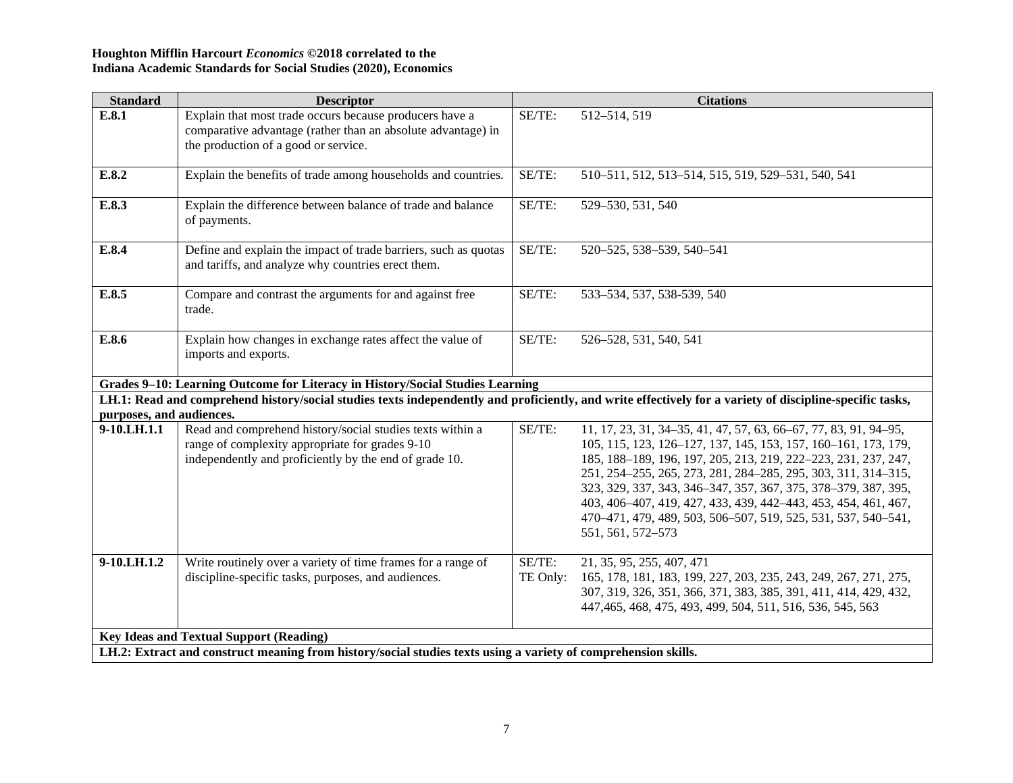| <b>Standard</b>          | <b>Descriptor</b>                                                                                              |          | <b>Citations</b>                                                                                                                                         |
|--------------------------|----------------------------------------------------------------------------------------------------------------|----------|----------------------------------------------------------------------------------------------------------------------------------------------------------|
| E.8.1                    | Explain that most trade occurs because producers have a                                                        | SE/TE:   | 512-514, 519                                                                                                                                             |
|                          | comparative advantage (rather than an absolute advantage) in                                                   |          |                                                                                                                                                          |
|                          | the production of a good or service.                                                                           |          |                                                                                                                                                          |
| E.8.2                    | Explain the benefits of trade among households and countries.                                                  | SE/TE:   | 510-511, 512, 513-514, 515, 519, 529-531, 540, 541                                                                                                       |
| E.8.3                    | Explain the difference between balance of trade and balance                                                    | SE/TE:   | 529-530, 531, 540                                                                                                                                        |
|                          | of payments.                                                                                                   |          |                                                                                                                                                          |
| E.8.4                    | Define and explain the impact of trade barriers, such as quotas                                                | SE/TE:   | 520-525, 538-539, 540-541                                                                                                                                |
|                          | and tariffs, and analyze why countries erect them.                                                             |          |                                                                                                                                                          |
|                          |                                                                                                                |          |                                                                                                                                                          |
| E.8.5                    | Compare and contrast the arguments for and against free<br>trade.                                              | SE/TE:   | 533-534, 537, 538-539, 540                                                                                                                               |
|                          |                                                                                                                |          |                                                                                                                                                          |
| E.8.6                    | Explain how changes in exchange rates affect the value of                                                      | SE/TE:   | 526-528, 531, 540, 541                                                                                                                                   |
|                          | imports and exports.                                                                                           |          |                                                                                                                                                          |
|                          | Grades 9-10: Learning Outcome for Literacy in History/Social Studies Learning                                  |          |                                                                                                                                                          |
|                          |                                                                                                                |          | LH.1: Read and comprehend history/social studies texts independently and proficiently, and write effectively for a variety of discipline-specific tasks, |
| purposes, and audiences. |                                                                                                                |          |                                                                                                                                                          |
| 9-10.LH.1.1              | Read and comprehend history/social studies texts within a                                                      | SE/TE:   | 11, 17, 23, 31, 34–35, 41, 47, 57, 63, 66–67, 77, 83, 91, 94–95,                                                                                         |
|                          | range of complexity appropriate for grades 9-10                                                                |          | 105, 115, 123, 126-127, 137, 145, 153, 157, 160-161, 173, 179,                                                                                           |
|                          | independently and proficiently by the end of grade 10.                                                         |          | 185, 188-189, 196, 197, 205, 213, 219, 222-223, 231, 237, 247,                                                                                           |
|                          |                                                                                                                |          | 251, 254–255, 265, 273, 281, 284–285, 295, 303, 311, 314–315,                                                                                            |
|                          |                                                                                                                |          | 323, 329, 337, 343, 346-347, 357, 367, 375, 378-379, 387, 395,<br>403, 406-407, 419, 427, 433, 439, 442-443, 453, 454, 461, 467,                         |
|                          |                                                                                                                |          | 470-471, 479, 489, 503, 506-507, 519, 525, 531, 537, 540-541,                                                                                            |
|                          |                                                                                                                |          | 551, 561, 572-573                                                                                                                                        |
|                          |                                                                                                                |          |                                                                                                                                                          |
| 9-10.LH.1.2              | Write routinely over a variety of time frames for a range of                                                   | SE/TE:   | 21, 35, 95, 255, 407, 471                                                                                                                                |
|                          | discipline-specific tasks, purposes, and audiences.                                                            | TE Only: | 165, 178, 181, 183, 199, 227, 203, 235, 243, 249, 267, 271, 275,                                                                                         |
|                          |                                                                                                                |          | 307, 319, 326, 351, 366, 371, 383, 385, 391, 411, 414, 429, 432,                                                                                         |
|                          |                                                                                                                |          | 447, 465, 468, 475, 493, 499, 504, 511, 516, 536, 545, 563                                                                                               |
|                          | <b>Key Ideas and Textual Support (Reading)</b>                                                                 |          |                                                                                                                                                          |
|                          | LH.2: Extract and construct meaning from history/social studies texts using a variety of comprehension skills. |          |                                                                                                                                                          |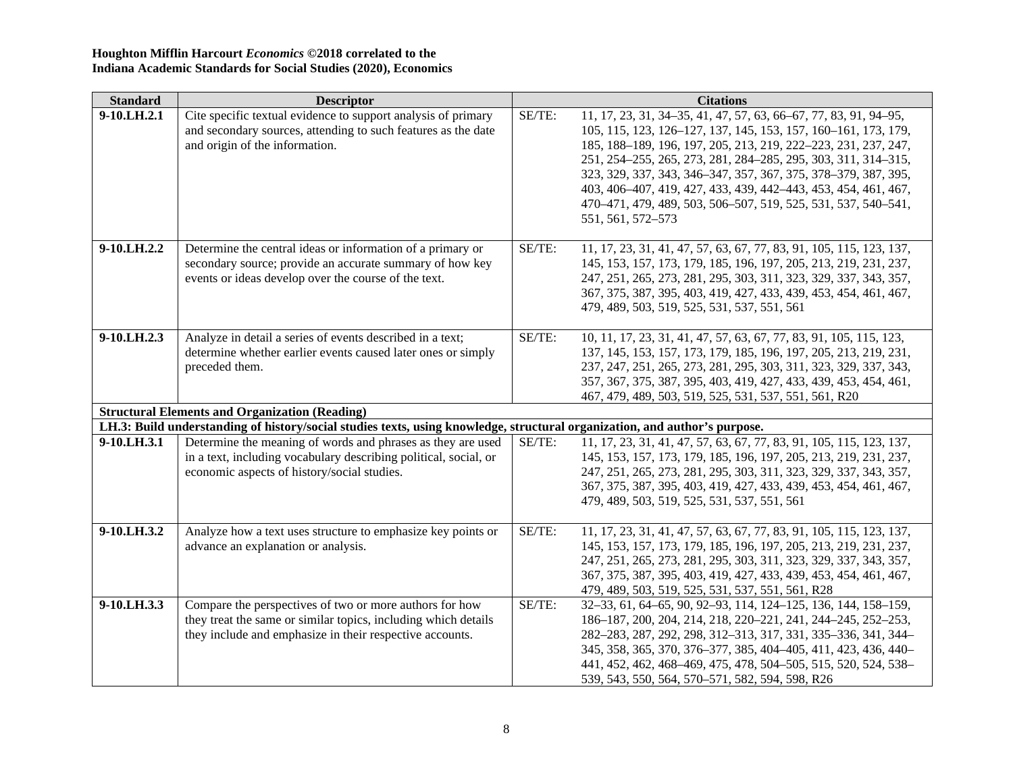| <b>Standard</b> | <b>Descriptor</b>                                                                                                          |        | <b>Citations</b>                                                    |
|-----------------|----------------------------------------------------------------------------------------------------------------------------|--------|---------------------------------------------------------------------|
| 9-10.LH.2.1     | Cite specific textual evidence to support analysis of primary                                                              | SE/TE: | 11, 17, 23, 31, 34-35, 41, 47, 57, 63, 66-67, 77, 83, 91, 94-95,    |
|                 | and secondary sources, attending to such features as the date                                                              |        | 105, 115, 123, 126-127, 137, 145, 153, 157, 160-161, 173, 179,      |
|                 | and origin of the information.                                                                                             |        | 185, 188-189, 196, 197, 205, 213, 219, 222-223, 231, 237, 247,      |
|                 |                                                                                                                            |        | 251, 254–255, 265, 273, 281, 284–285, 295, 303, 311, 314–315,       |
|                 |                                                                                                                            |        | 323, 329, 337, 343, 346-347, 357, 367, 375, 378-379, 387, 395,      |
|                 |                                                                                                                            |        | 403, 406-407, 419, 427, 433, 439, 442-443, 453, 454, 461, 467,      |
|                 |                                                                                                                            |        | 470-471, 479, 489, 503, 506-507, 519, 525, 531, 537, 540-541,       |
|                 |                                                                                                                            |        | 551, 561, 572-573                                                   |
|                 |                                                                                                                            |        |                                                                     |
| 9-10.LH.2.2     | Determine the central ideas or information of a primary or                                                                 | SE/TE: | 11, 17, 23, 31, 41, 47, 57, 63, 67, 77, 83, 91, 105, 115, 123, 137, |
|                 | secondary source; provide an accurate summary of how key                                                                   |        | 145, 153, 157, 173, 179, 185, 196, 197, 205, 213, 219, 231, 237,    |
|                 | events or ideas develop over the course of the text.                                                                       |        | 247, 251, 265, 273, 281, 295, 303, 311, 323, 329, 337, 343, 357,    |
|                 |                                                                                                                            |        | 367, 375, 387, 395, 403, 419, 427, 433, 439, 453, 454, 461, 467,    |
|                 |                                                                                                                            |        | 479, 489, 503, 519, 525, 531, 537, 551, 561                         |
|                 |                                                                                                                            |        |                                                                     |
| 9-10.LH.2.3     | Analyze in detail a series of events described in a text;                                                                  | SE/TE: | 10, 11, 17, 23, 31, 41, 47, 57, 63, 67, 77, 83, 91, 105, 115, 123,  |
|                 | determine whether earlier events caused later ones or simply                                                               |        | 137, 145, 153, 157, 173, 179, 185, 196, 197, 205, 213, 219, 231,    |
|                 | preceded them.                                                                                                             |        | 237, 247, 251, 265, 273, 281, 295, 303, 311, 323, 329, 337, 343,    |
|                 |                                                                                                                            |        | 357, 367, 375, 387, 395, 403, 419, 427, 433, 439, 453, 454, 461,    |
|                 |                                                                                                                            |        | 467, 479, 489, 503, 519, 525, 531, 537, 551, 561, R20               |
|                 | <b>Structural Elements and Organization (Reading)</b>                                                                      |        |                                                                     |
|                 | LH.3: Build understanding of history/social studies texts, using knowledge, structural organization, and author's purpose. |        |                                                                     |
| 9-10.LH.3.1     | Determine the meaning of words and phrases as they are used                                                                | SE/TE: | 11, 17, 23, 31, 41, 47, 57, 63, 67, 77, 83, 91, 105, 115, 123, 137, |
|                 | in a text, including vocabulary describing political, social, or                                                           |        | 145, 153, 157, 173, 179, 185, 196, 197, 205, 213, 219, 231, 237,    |
|                 | economic aspects of history/social studies.                                                                                |        | 247, 251, 265, 273, 281, 295, 303, 311, 323, 329, 337, 343, 357,    |
|                 |                                                                                                                            |        | 367, 375, 387, 395, 403, 419, 427, 433, 439, 453, 454, 461, 467,    |
|                 |                                                                                                                            |        | 479, 489, 503, 519, 525, 531, 537, 551, 561                         |
|                 |                                                                                                                            |        |                                                                     |
| 9-10.LH.3.2     | Analyze how a text uses structure to emphasize key points or                                                               | SE/TE: | 11, 17, 23, 31, 41, 47, 57, 63, 67, 77, 83, 91, 105, 115, 123, 137, |
|                 | advance an explanation or analysis.                                                                                        |        | 145, 153, 157, 173, 179, 185, 196, 197, 205, 213, 219, 231, 237,    |
|                 |                                                                                                                            |        | 247, 251, 265, 273, 281, 295, 303, 311, 323, 329, 337, 343, 357,    |
|                 |                                                                                                                            |        | 367, 375, 387, 395, 403, 419, 427, 433, 439, 453, 454, 461, 467,    |
| 9-10.LH.3.3     |                                                                                                                            | SE/TE: | 479, 489, 503, 519, 525, 531, 537, 551, 561, R28                    |
|                 | Compare the perspectives of two or more authors for how                                                                    |        | 32-33, 61, 64-65, 90, 92-93, 114, 124-125, 136, 144, 158-159,       |
|                 | they treat the same or similar topics, including which details                                                             |        | 186-187, 200, 204, 214, 218, 220-221, 241, 244-245, 252-253,        |
|                 | they include and emphasize in their respective accounts.                                                                   |        | 282-283, 287, 292, 298, 312-313, 317, 331, 335-336, 341, 344-       |
|                 |                                                                                                                            |        | 345, 358, 365, 370, 376-377, 385, 404-405, 411, 423, 436, 440-      |
|                 |                                                                                                                            |        | 441, 452, 462, 468-469, 475, 478, 504-505, 515, 520, 524, 538-      |
|                 |                                                                                                                            |        | 539, 543, 550, 564, 570–571, 582, 594, 598, R26                     |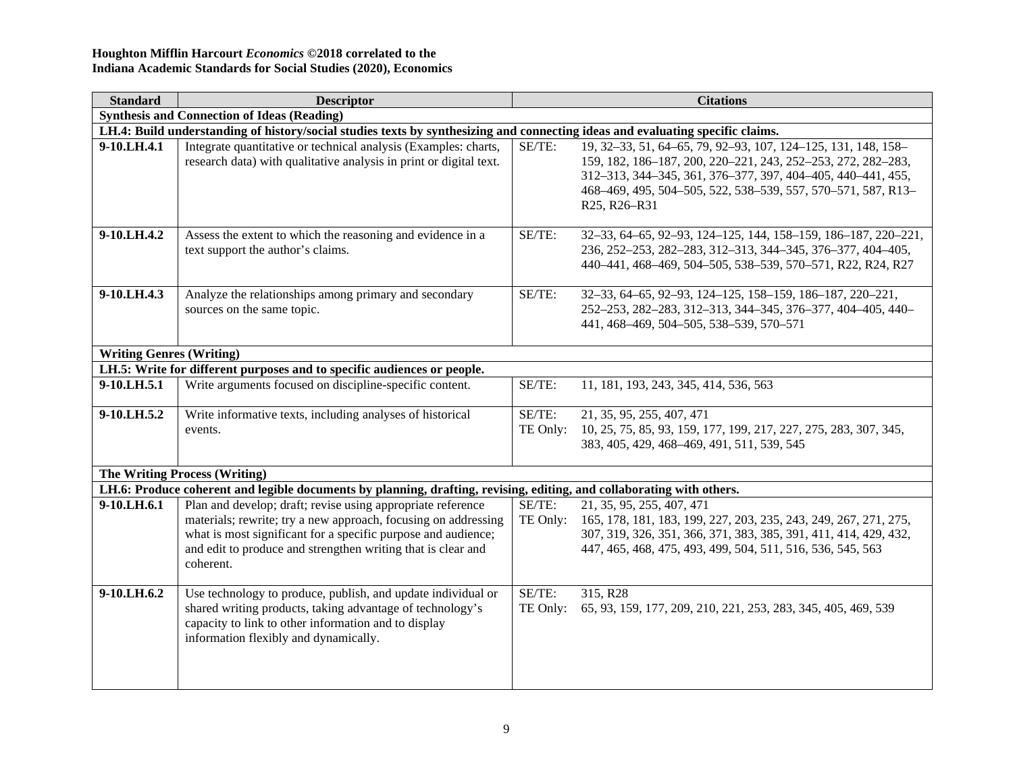| Standard                        | <b>Descriptor</b>                                                                                                                                                                                                                                                           |                       | <b>Citations</b>                                                                                                                                                                                                                                                             |  |  |  |
|---------------------------------|-----------------------------------------------------------------------------------------------------------------------------------------------------------------------------------------------------------------------------------------------------------------------------|-----------------------|------------------------------------------------------------------------------------------------------------------------------------------------------------------------------------------------------------------------------------------------------------------------------|--|--|--|
|                                 | <b>Synthesis and Connection of Ideas (Reading)</b>                                                                                                                                                                                                                          |                       |                                                                                                                                                                                                                                                                              |  |  |  |
|                                 | LH.4: Build understanding of history/social studies texts by synthesizing and connecting ideas and evaluating specific claims.                                                                                                                                              |                       |                                                                                                                                                                                                                                                                              |  |  |  |
| 9-10.LH.4.1                     | Integrate quantitative or technical analysis (Examples: charts,<br>research data) with qualitative analysis in print or digital text.                                                                                                                                       | SE/TE:                | 19, 32-33, 51, 64-65, 79, 92-93, 107, 124-125, 131, 148, 158-<br>159, 182, 186-187, 200, 220-221, 243, 252-253, 272, 282-283,<br>312-313, 344-345, 361, 376-377, 397, 404-405, 440-441, 455,<br>468-469, 495, 504-505, 522, 538-539, 557, 570-571, 587, R13-<br>R25, R26-R31 |  |  |  |
| 9-10.LH.4.2                     | Assess the extent to which the reasoning and evidence in a<br>text support the author's claims.                                                                                                                                                                             | SE/TE:                | 32-33, 64-65, 92-93, 124-125, 144, 158-159, 186-187, 220-221,<br>236, 252-253, 282-283, 312-313, 344-345, 376-377, 404-405,<br>440-441, 468-469, 504-505, 538-539, 570-571, R22, R24, R27                                                                                    |  |  |  |
| 9-10.LH.4.3                     | Analyze the relationships among primary and secondary<br>sources on the same topic.                                                                                                                                                                                         | SE/TE:                | 32-33, 64-65, 92-93, 124-125, 158-159, 186-187, 220-221,<br>252-253, 282-283, 312-313, 344-345, 376-377, 404-405, 440-<br>441, 468-469, 504-505, 538-539, 570-571                                                                                                            |  |  |  |
| <b>Writing Genres (Writing)</b> |                                                                                                                                                                                                                                                                             |                       |                                                                                                                                                                                                                                                                              |  |  |  |
|                                 | LH.5: Write for different purposes and to specific audiences or people.                                                                                                                                                                                                     |                       |                                                                                                                                                                                                                                                                              |  |  |  |
| 9-10.LH.5.1                     | Write arguments focused on discipline-specific content.                                                                                                                                                                                                                     | SE/TE:                | 11, 181, 193, 243, 345, 414, 536, 563                                                                                                                                                                                                                                        |  |  |  |
| 9-10.LH.5.2                     | Write informative texts, including analyses of historical<br>events.                                                                                                                                                                                                        | $SE/TE$ :<br>TE Only: | 21, 35, 95, 255, 407, 471<br>10, 25, 75, 85, 93, 159, 177, 199, 217, 227, 275, 283, 307, 345,<br>383, 405, 429, 468-469, 491, 511, 539, 545                                                                                                                                  |  |  |  |
|                                 | <b>The Writing Process (Writing)</b>                                                                                                                                                                                                                                        |                       |                                                                                                                                                                                                                                                                              |  |  |  |
|                                 | LH.6: Produce coherent and legible documents by planning, drafting, revising, editing, and collaborating with others.                                                                                                                                                       |                       |                                                                                                                                                                                                                                                                              |  |  |  |
| 9-10.LH.6.1                     | Plan and develop; draft; revise using appropriate reference<br>materials; rewrite; try a new approach, focusing on addressing<br>what is most significant for a specific purpose and audience;<br>and edit to produce and strengthen writing that is clear and<br>coherent. | SE/TE:<br>TE Only:    | 21, 35, 95, 255, 407, 471<br>165, 178, 181, 183, 199, 227, 203, 235, 243, 249, 267, 271, 275,<br>307, 319, 326, 351, 366, 371, 383, 385, 391, 411, 414, 429, 432,<br>447, 465, 468, 475, 493, 499, 504, 511, 516, 536, 545, 563                                              |  |  |  |
| 9-10.LH.6.2                     | Use technology to produce, publish, and update individual or<br>shared writing products, taking advantage of technology's<br>capacity to link to other information and to display<br>information flexibly and dynamically.                                                  | SE/TE:<br>TE Only:    | 315, R28<br>65, 93, 159, 177, 209, 210, 221, 253, 283, 345, 405, 469, 539                                                                                                                                                                                                    |  |  |  |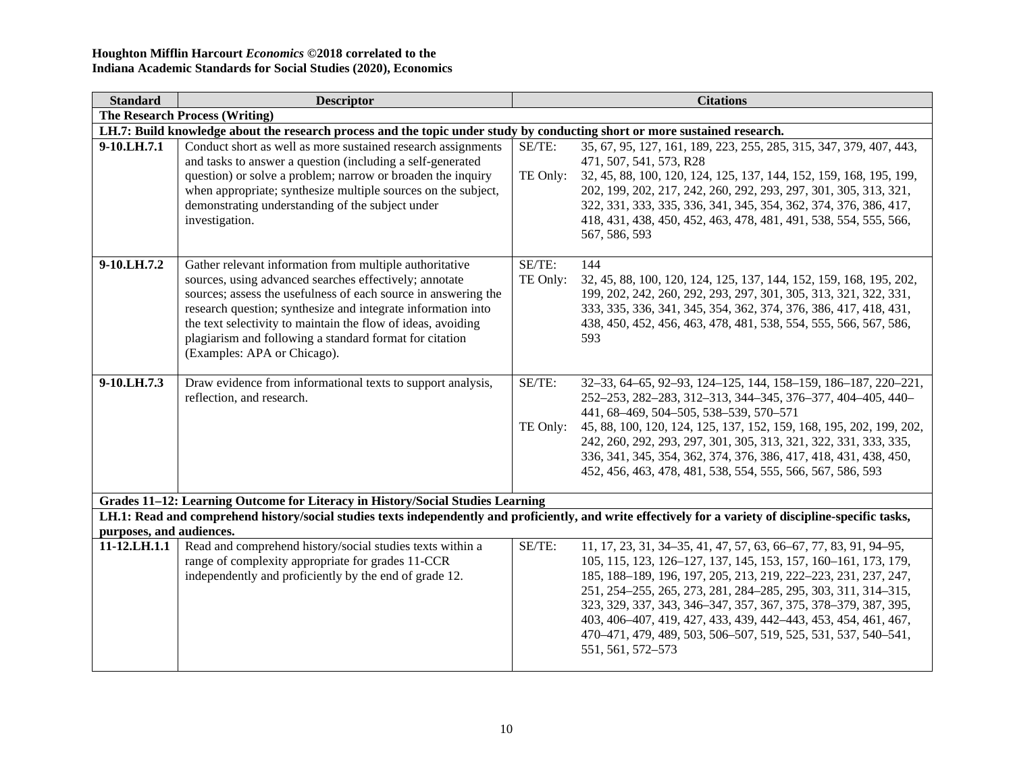| <b>Standard</b>          | <b>Descriptor</b>                                                                                                                                                                                                                                                                                                                                                                                             |                    | <b>Citations</b>                                                                                                                                                                                                                                                                                                                                                                                                                                                                                |  |  |  |
|--------------------------|---------------------------------------------------------------------------------------------------------------------------------------------------------------------------------------------------------------------------------------------------------------------------------------------------------------------------------------------------------------------------------------------------------------|--------------------|-------------------------------------------------------------------------------------------------------------------------------------------------------------------------------------------------------------------------------------------------------------------------------------------------------------------------------------------------------------------------------------------------------------------------------------------------------------------------------------------------|--|--|--|
|                          | <b>The Research Process (Writing)</b>                                                                                                                                                                                                                                                                                                                                                                         |                    |                                                                                                                                                                                                                                                                                                                                                                                                                                                                                                 |  |  |  |
|                          | LH.7: Build knowledge about the research process and the topic under study by conducting short or more sustained research.                                                                                                                                                                                                                                                                                    |                    |                                                                                                                                                                                                                                                                                                                                                                                                                                                                                                 |  |  |  |
| 9-10.LH.7.1              | Conduct short as well as more sustained research assignments<br>and tasks to answer a question (including a self-generated<br>question) or solve a problem; narrow or broaden the inquiry<br>when appropriate; synthesize multiple sources on the subject,<br>demonstrating understanding of the subject under<br>investigation.                                                                              | SE/TE:<br>TE Only: | 35, 67, 95, 127, 161, 189, 223, 255, 285, 315, 347, 379, 407, 443,<br>471, 507, 541, 573, R28<br>32, 45, 88, 100, 120, 124, 125, 137, 144, 152, 159, 168, 195, 199,<br>202, 199, 202, 217, 242, 260, 292, 293, 297, 301, 305, 313, 321,<br>322, 331, 333, 335, 336, 341, 345, 354, 362, 374, 376, 386, 417,<br>418, 431, 438, 450, 452, 463, 478, 481, 491, 538, 554, 555, 566,<br>567, 586, 593                                                                                                |  |  |  |
| 9-10.LH.7.2              | Gather relevant information from multiple authoritative<br>sources, using advanced searches effectively; annotate<br>sources; assess the usefulness of each source in answering the<br>research question; synthesize and integrate information into<br>the text selectivity to maintain the flow of ideas, avoiding<br>plagiarism and following a standard format for citation<br>(Examples: APA or Chicago). | SE/TE:<br>TE Only: | 144<br>32, 45, 88, 100, 120, 124, 125, 137, 144, 152, 159, 168, 195, 202,<br>199, 202, 242, 260, 292, 293, 297, 301, 305, 313, 321, 322, 331,<br>333, 335, 336, 341, 345, 354, 362, 374, 376, 386, 417, 418, 431,<br>438, 450, 452, 456, 463, 478, 481, 538, 554, 555, 566, 567, 586,<br>593                                                                                                                                                                                                    |  |  |  |
| 9-10.LH.7.3              | Draw evidence from informational texts to support analysis,<br>reflection, and research.                                                                                                                                                                                                                                                                                                                      | SE/TE:<br>TE Only: | 32-33, 64-65, 92-93, 124-125, 144, 158-159, 186-187, 220-221,<br>252-253, 282-283, 312-313, 344-345, 376-377, 404-405, 440-<br>441, 68-469, 504-505, 538-539, 570-571<br>45, 88, 100, 120, 124, 125, 137, 152, 159, 168, 195, 202, 199, 202,<br>242, 260, 292, 293, 297, 301, 305, 313, 321, 322, 331, 333, 335,<br>336, 341, 345, 354, 362, 374, 376, 386, 417, 418, 431, 438, 450,<br>452, 456, 463, 478, 481, 538, 554, 555, 566, 567, 586, 593                                              |  |  |  |
|                          | Grades 11-12: Learning Outcome for Literacy in History/Social Studies Learning                                                                                                                                                                                                                                                                                                                                |                    |                                                                                                                                                                                                                                                                                                                                                                                                                                                                                                 |  |  |  |
|                          |                                                                                                                                                                                                                                                                                                                                                                                                               |                    | LH.1: Read and comprehend history/social studies texts independently and proficiently, and write effectively for a variety of discipline-specific tasks,                                                                                                                                                                                                                                                                                                                                        |  |  |  |
| purposes, and audiences. |                                                                                                                                                                                                                                                                                                                                                                                                               |                    |                                                                                                                                                                                                                                                                                                                                                                                                                                                                                                 |  |  |  |
| 11-12.LH.1.1             | Read and comprehend history/social studies texts within a<br>range of complexity appropriate for grades 11-CCR<br>independently and proficiently by the end of grade 12.                                                                                                                                                                                                                                      | SE/TE:             | 11, 17, 23, 31, 34–35, 41, 47, 57, 63, 66–67, 77, 83, 91, 94–95,<br>105, 115, 123, 126-127, 137, 145, 153, 157, 160-161, 173, 179,<br>185, 188-189, 196, 197, 205, 213, 219, 222-223, 231, 237, 247,<br>251, 254-255, 265, 273, 281, 284-285, 295, 303, 311, 314-315,<br>323, 329, 337, 343, 346-347, 357, 367, 375, 378-379, 387, 395,<br>403, 406-407, 419, 427, 433, 439, 442-443, 453, 454, 461, 467,<br>470-471, 479, 489, 503, 506-507, 519, 525, 531, 537, 540-541,<br>551, 561, 572-573 |  |  |  |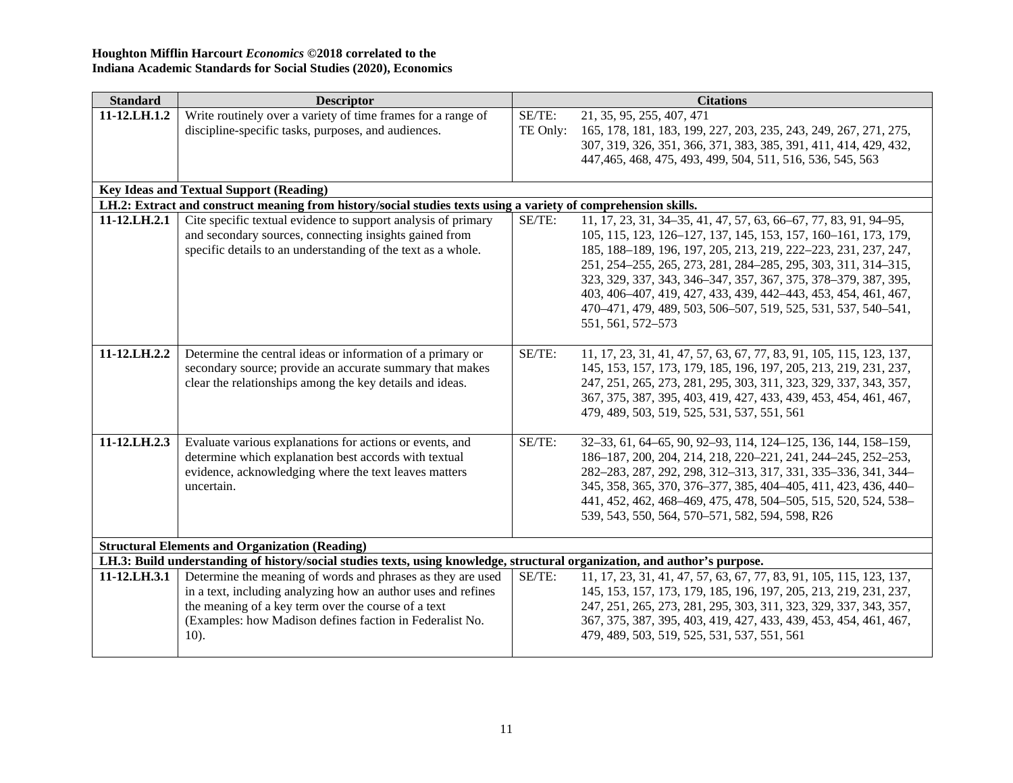| <b>Standard</b> | <b>Descriptor</b>                                                                                                          |                    | <b>Citations</b>                                                                                                                |
|-----------------|----------------------------------------------------------------------------------------------------------------------------|--------------------|---------------------------------------------------------------------------------------------------------------------------------|
| 11-12.LH.1.2    | Write routinely over a variety of time frames for a range of<br>discipline-specific tasks, purposes, and audiences.        | SE/TE:<br>TE Only: | 21, 35, 95, 255, 407, 471<br>165, 178, 181, 183, 199, 227, 203, 235, 243, 249, 267, 271, 275,                                   |
|                 |                                                                                                                            |                    | 307, 319, 326, 351, 366, 371, 383, 385, 391, 411, 414, 429, 432,                                                                |
|                 |                                                                                                                            |                    | 447, 465, 468, 475, 493, 499, 504, 511, 516, 536, 545, 563                                                                      |
|                 | <b>Key Ideas and Textual Support (Reading)</b>                                                                             |                    |                                                                                                                                 |
|                 | LH.2: Extract and construct meaning from history/social studies texts using a variety of comprehension skills.             |                    |                                                                                                                                 |
| 11-12.LH.2.1    | Cite specific textual evidence to support analysis of primary                                                              | SE/TE:             | 11, 17, 23, 31, 34–35, 41, 47, 57, 63, 66–67, 77, 83, 91, 94–95,                                                                |
|                 | and secondary sources, connecting insights gained from                                                                     |                    | 105, 115, 123, 126-127, 137, 145, 153, 157, 160-161, 173, 179,                                                                  |
|                 | specific details to an understanding of the text as a whole.                                                               |                    | 185, 188-189, 196, 197, 205, 213, 219, 222-223, 231, 237, 247,                                                                  |
|                 |                                                                                                                            |                    | 251, 254–255, 265, 273, 281, 284–285, 295, 303, 311, 314–315,                                                                   |
|                 |                                                                                                                            |                    | 323, 329, 337, 343, 346-347, 357, 367, 375, 378-379, 387, 395,                                                                  |
|                 |                                                                                                                            |                    | 403, 406-407, 419, 427, 433, 439, 442-443, 453, 454, 461, 467,<br>470-471, 479, 489, 503, 506-507, 519, 525, 531, 537, 540-541, |
|                 |                                                                                                                            |                    | 551, 561, 572-573                                                                                                               |
|                 |                                                                                                                            |                    |                                                                                                                                 |
| 11-12.LH.2.2    | Determine the central ideas or information of a primary or                                                                 | SE/TE:             | 11, 17, 23, 31, 41, 47, 57, 63, 67, 77, 83, 91, 105, 115, 123, 137,                                                             |
|                 | secondary source; provide an accurate summary that makes                                                                   |                    | 145, 153, 157, 173, 179, 185, 196, 197, 205, 213, 219, 231, 237,                                                                |
|                 | clear the relationships among the key details and ideas.                                                                   |                    | 247, 251, 265, 273, 281, 295, 303, 311, 323, 329, 337, 343, 357,                                                                |
|                 |                                                                                                                            |                    | 367, 375, 387, 395, 403, 419, 427, 433, 439, 453, 454, 461, 467,                                                                |
|                 |                                                                                                                            |                    | 479, 489, 503, 519, 525, 531, 537, 551, 561                                                                                     |
|                 |                                                                                                                            |                    |                                                                                                                                 |
| 11-12.LH.2.3    | Evaluate various explanations for actions or events, and<br>determine which explanation best accords with textual          | SE/TE:             | 32-33, 61, 64-65, 90, 92-93, 114, 124-125, 136, 144, 158-159,<br>186-187, 200, 204, 214, 218, 220-221, 241, 244-245, 252-253,   |
|                 | evidence, acknowledging where the text leaves matters                                                                      |                    | 282-283, 287, 292, 298, 312-313, 317, 331, 335-336, 341, 344-                                                                   |
|                 | uncertain.                                                                                                                 |                    | 345, 358, 365, 370, 376-377, 385, 404-405, 411, 423, 436, 440-                                                                  |
|                 |                                                                                                                            |                    | 441, 452, 462, 468-469, 475, 478, 504-505, 515, 520, 524, 538-                                                                  |
|                 |                                                                                                                            |                    | 539, 543, 550, 564, 570–571, 582, 594, 598, R26                                                                                 |
|                 |                                                                                                                            |                    |                                                                                                                                 |
|                 | <b>Structural Elements and Organization (Reading)</b>                                                                      |                    |                                                                                                                                 |
|                 | LH.3: Build understanding of history/social studies texts, using knowledge, structural organization, and author's purpose. |                    |                                                                                                                                 |
| 11-12.LH.3.1    | Determine the meaning of words and phrases as they are used                                                                | SE/TE:             | 11, 17, 23, 31, 41, 47, 57, 63, 67, 77, 83, 91, 105, 115, 123, 137,                                                             |
|                 | in a text, including analyzing how an author uses and refines                                                              |                    | 145, 153, 157, 173, 179, 185, 196, 197, 205, 213, 219, 231, 237,                                                                |
|                 | the meaning of a key term over the course of a text                                                                        |                    | 247, 251, 265, 273, 281, 295, 303, 311, 323, 329, 337, 343, 357,                                                                |
|                 | (Examples: how Madison defines faction in Federalist No.<br>$10$ ).                                                        |                    | 367, 375, 387, 395, 403, 419, 427, 433, 439, 453, 454, 461, 467,<br>479, 489, 503, 519, 525, 531, 537, 551, 561                 |
|                 |                                                                                                                            |                    |                                                                                                                                 |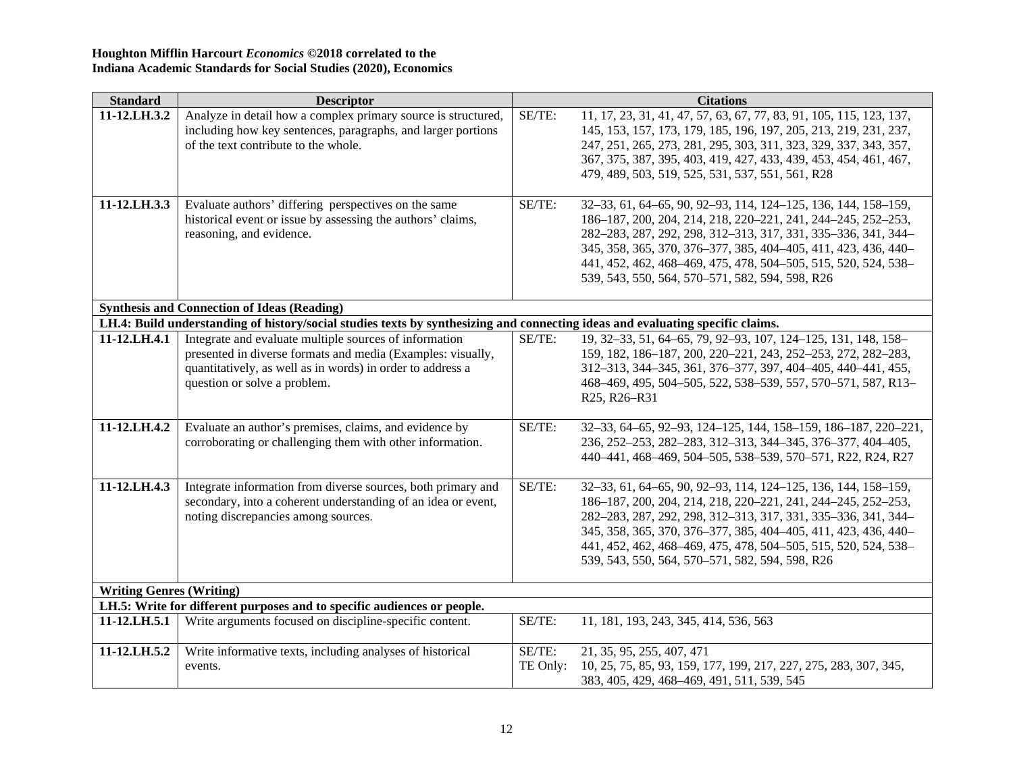| <b>Standard</b>                 | <b>Descriptor</b>                                                                                                              |          | <b>Citations</b>                                                                                                     |
|---------------------------------|--------------------------------------------------------------------------------------------------------------------------------|----------|----------------------------------------------------------------------------------------------------------------------|
| 11-12.LH.3.2                    | Analyze in detail how a complex primary source is structured,                                                                  | SE/TE:   | 11, 17, 23, 31, 41, 47, 57, 63, 67, 77, 83, 91, 105, 115, 123, 137,                                                  |
|                                 | including how key sentences, paragraphs, and larger portions                                                                   |          | 145, 153, 157, 173, 179, 185, 196, 197, 205, 213, 219, 231, 237,                                                     |
|                                 | of the text contribute to the whole.                                                                                           |          | 247, 251, 265, 273, 281, 295, 303, 311, 323, 329, 337, 343, 357,                                                     |
|                                 |                                                                                                                                |          | 367, 375, 387, 395, 403, 419, 427, 433, 439, 453, 454, 461, 467,<br>479, 489, 503, 519, 525, 531, 537, 551, 561, R28 |
|                                 |                                                                                                                                |          |                                                                                                                      |
| 11-12.LH.3.3                    | Evaluate authors' differing perspectives on the same                                                                           | SE/TE:   | 32-33, 61, 64-65, 90, 92-93, 114, 124-125, 136, 144, 158-159,                                                        |
|                                 | historical event or issue by assessing the authors' claims,                                                                    |          | 186-187, 200, 204, 214, 218, 220-221, 241, 244-245, 252-253,                                                         |
|                                 | reasoning, and evidence.                                                                                                       |          | 282-283, 287, 292, 298, 312-313, 317, 331, 335-336, 341, 344-                                                        |
|                                 |                                                                                                                                |          | 345, 358, 365, 370, 376-377, 385, 404-405, 411, 423, 436, 440-                                                       |
|                                 |                                                                                                                                |          | 441, 452, 462, 468-469, 475, 478, 504-505, 515, 520, 524, 538-                                                       |
|                                 |                                                                                                                                |          | 539, 543, 550, 564, 570-571, 582, 594, 598, R26                                                                      |
|                                 |                                                                                                                                |          |                                                                                                                      |
|                                 | <b>Synthesis and Connection of Ideas (Reading)</b>                                                                             |          |                                                                                                                      |
|                                 | LH.4: Build understanding of history/social studies texts by synthesizing and connecting ideas and evaluating specific claims. |          |                                                                                                                      |
| 11-12.LH.4.1                    | Integrate and evaluate multiple sources of information                                                                         | SE/TE:   | 19, 32-33, 51, 64-65, 79, 92-93, 107, 124-125, 131, 148, 158-                                                        |
|                                 | presented in diverse formats and media (Examples: visually,                                                                    |          | 159, 182, 186-187, 200, 220-221, 243, 252-253, 272, 282-283,                                                         |
|                                 | quantitatively, as well as in words) in order to address a                                                                     |          | 312-313, 344-345, 361, 376-377, 397, 404-405, 440-441, 455,                                                          |
|                                 | question or solve a problem.                                                                                                   |          | 468-469, 495, 504-505, 522, 538-539, 557, 570-571, 587, R13-                                                         |
|                                 |                                                                                                                                |          | R25, R26-R31                                                                                                         |
| 11-12.LH.4.2                    | Evaluate an author's premises, claims, and evidence by                                                                         | SE/TE:   | 32-33, 64-65, 92-93, 124-125, 144, 158-159, 186-187, 220-221,                                                        |
|                                 | corroborating or challenging them with other information.                                                                      |          | 236, 252-253, 282-283, 312-313, 344-345, 376-377, 404-405,                                                           |
|                                 |                                                                                                                                |          | 440-441, 468-469, 504-505, 538-539, 570-571, R22, R24, R27                                                           |
|                                 |                                                                                                                                |          |                                                                                                                      |
| 11-12.LH.4.3                    | Integrate information from diverse sources, both primary and                                                                   | SE/TE:   | 32-33, 61, 64-65, 90, 92-93, 114, 124-125, 136, 144, 158-159,                                                        |
|                                 | secondary, into a coherent understanding of an idea or event,                                                                  |          | 186-187, 200, 204, 214, 218, 220-221, 241, 244-245, 252-253,                                                         |
|                                 | noting discrepancies among sources.                                                                                            |          | 282-283, 287, 292, 298, 312-313, 317, 331, 335-336, 341, 344-                                                        |
|                                 |                                                                                                                                |          | 345, 358, 365, 370, 376-377, 385, 404-405, 411, 423, 436, 440-                                                       |
|                                 |                                                                                                                                |          | 441, 452, 462, 468-469, 475, 478, 504-505, 515, 520, 524, 538-                                                       |
|                                 |                                                                                                                                |          | 539, 543, 550, 564, 570-571, 582, 594, 598, R26                                                                      |
| <b>Writing Genres (Writing)</b> |                                                                                                                                |          |                                                                                                                      |
|                                 | LH.5: Write for different purposes and to specific audiences or people.                                                        |          |                                                                                                                      |
| 11-12.LH.5.1                    | Write arguments focused on discipline-specific content.                                                                        | SE/TE:   | 11, 181, 193, 243, 345, 414, 536, 563                                                                                |
| 11-12.LH.5.2                    | Write informative texts, including analyses of historical                                                                      | SE/TE:   | 21, 35, 95, 255, 407, 471                                                                                            |
|                                 | events.                                                                                                                        | TE Only: | 10, 25, 75, 85, 93, 159, 177, 199, 217, 227, 275, 283, 307, 345,                                                     |
|                                 |                                                                                                                                |          | 383, 405, 429, 468–469, 491, 511, 539, 545                                                                           |